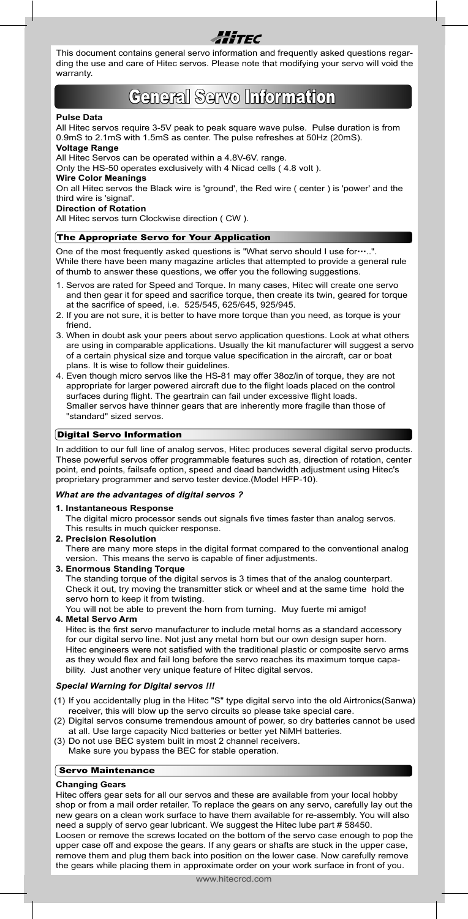

This document contains general servo information and frequently asked questions regarding the use and care of Hitec servos. Please note that modifying your servo will void the warranty.

# General Servo Information

#### **Pulse Data**

All Hitec servos require 3-5V peak to peak square wave pulse. Pulse duration is from 0.9mS to 2.1mS with 1.5mS as center. The pulse refreshes at 50Hz (20mS).

## **Voltage Range**

All Hitec Servos can be operated within a 4.8V-6V. range.

Only the HS-50 operates exclusively with 4 Nicad cells ( 4.8 volt ).

# **Wire Color Meanings**

On all Hitec servos the Black wire is 'ground', the Red wire ( center ) is 'power' and the third wire is 'signal'.

**Direction of Rotation**

All Hitec servos turn Clockwise direction ( CW ).

## The Appropriate Servo for Your Application

One of the most frequently asked questions is "What servo should I use for….". While there have been many magazine articles that attempted to provide a general rule of thumb to answer these questions, we offer you the following suggestions.

- 1. Servos are rated for Speed and Torque. In many cases, Hitec will create one servo and then gear it for speed and sacrifice torque, then create its twin, geared for torque at the sacrifice of speed, i.e. 525/545, 625/645, 925/945.
- 2. If you are not sure, it is better to have more torque than you need, as torque is your friend.
- 3. When in doubt ask your peers about servo application questions. Look at what others are using in comparable applications. Usually the kit manufacturer will suggest a servo of a certain physical size and torque value specification in the aircraft, car or boat plans. It is wise to follow their guidelines.
- 4. Even though micro servos like the HS-81 may offer 38oz/in of torque, they are not appropriate for larger powered aircraft due to the flight loads placed on the control surfaces during flight. The geartrain can fail under excessive flight loads. Smaller servos have thinner gears that are inherently more fragile than those of "standard" sized servos.

## Digital Servo Information

In addition to our full line of analog servos, Hitec produces several digital servo products. These powerful servos offer programmable features such as, direction of rotation, center point, end points, failsafe option, speed and dead bandwidth adjustment using Hitec's proprietary programmer and servo tester device.(Model HFP-10).

## *What are the advantages of digital servos ?*

#### **1. Instantaneous Response**

The digital micro processor sends out signals five times faster than analog servos. This results in much quicker response.

- **2. Precision Resolution** There are many more steps in the digital format compared to the conventional analog version. This means the servo is capable of finer adjustments.
- **3. Enormous Standing Torque**

The standing torque of the digital servos is 3 times that of the analog counterpart. Check it out, try moving the transmitter stick or wheel and at the same time hold the servo horn to keep it from twisting.

You will not be able to prevent the horn from turning. Muy fuerte mi amigo! **4. Metal Servo Arm**

Hitec is the first servo manufacturer to include metal horns as a standard accessory for our digital servo line. Not just any metal horn but our own design super horn. Hitec engineers were not satisfied with the traditional plastic or composite servo arms as they would flex and fail long before the servo reaches its maximum torque capability. Just another very unique feature of Hitec digital servos.

## *Special Warning for Digital servos !!!*

- (1) If you accidentally plug in the Hitec "S" type digital servo into the old Airtronics(Sanwa) receiver, this will blow up the servo circuits so please take special care.
- (2) Digital servos consume tremendous amount of power, so dry batteries cannot be used at all. Use large capacity Nicd batteries or better yet NiMH batteries.
- (3) Do not use BEC system built in most 2 channel receivers. Make sure you bypass the BEC for stable operation.

## Servo Maintenance

## **Changing Gears**

Hitec offers gear sets for all our servos and these are available from your local hobby shop or from a mail order retailer. To replace the gears on any servo, carefully lay out the new gears on a clean work surface to have them available for re-assembly. You will also need a supply of servo gear lubricant. We suggest the Hitec lube part # 58450. Loosen or remove the screws located on the bottom of the servo case enough to pop the upper case off and expose the gears. If any gears or shafts are stuck in the upper case, remove them and plug them back into position on the lower case. Now carefully remove